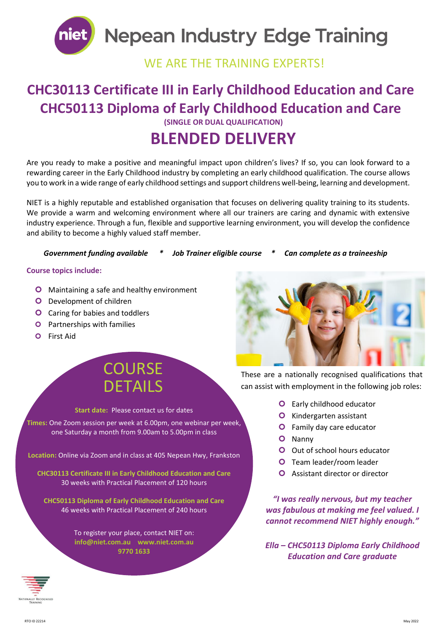

# **Nepean Industry Edge Training**

### WE ARE THE TRAINING EXPERTS!

### **CHC30113 Certificate III in Early Childhood Education and Care CHC50113 Diploma of Early Childhood Education and Care (SINGLE OR DUAL QUALIFICATION)**

## **BLENDED DELIVERY**

Are you ready to make a positive and meaningful impact upon children's lives? If so, you can look forward to a rewarding career in the Early Childhood industry by completing an early childhood qualification. The course allows you to work in a wide range of early childhood settings and support childrens well-being, learning and development.

NIET is a highly reputable and established organisation that focuses on delivering quality training to its students. We provide a warm and welcoming environment where all our trainers are caring and dynamic with extensive industry experience. Through a fun, flexible and supportive learning environment, you will develop the confidence and ability to become a highly valued staff member.

#### *Government funding available \* Job Trainer eligible course \* Can complete as a traineeship*

#### **Course topics include:**

- **O** Maintaining a safe and healthy environment
- **O** Development of children
- **O** Caring for babies and toddlers
- **O** Partnerships with families
- **O** First Aid

## **COURSE** DETAILS

#### **Start date:** Please contact us for dates

**Times:** One Zoom session per week at 6.00pm, one webinar per week, one Saturday a month from 9.00am to 5.00pm in class

**Location:** Online via Zoom and in class at 405 Nepean Hwy, Frankston

**CHC30113 Certificate III in Early Childhood Education and Care** 30 weeks with Practical Placement of 120 hours

**CHC50113 Diploma of Early Childhood Education and Care** 46 weeks with Practical Placement of 240 hours

> To register your place, contact NIET on: **[info@niet.com.au](mailto:info@niet.com.au) www.niet.com.au 9770 1633**



These are a nationally recognised qualifications that can assist with employment in the following job roles:

- **O** Early childhood educator
- **O** Kindergarten assistant
- **O** Family day care educator
- O Nanny
- **O** Out of school hours educator
- **O** Team leader/room leader
- **O** Assistant director or director

*"I was really nervous, but my teacher was fabulous at making me feel valued. I cannot recommend NIET highly enough."*

*Ella – CHC50113 Diploma Early Childhood Education and Care graduate*

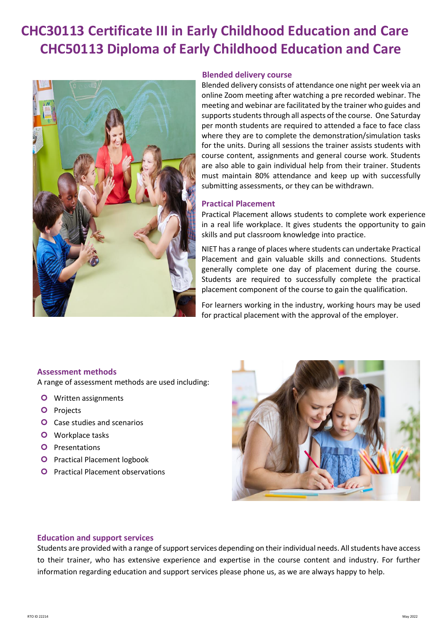## **CHC30113 Certificate III in Early Childhood Education and Care CHC50113 Diploma of Early Childhood Education and Care**



#### **Blended delivery course**

Blended delivery consists of attendance one night per week via an online Zoom meeting after watching a pre recorded webinar. The meeting and webinar are facilitated by the trainer who guides and supports students through all aspects of the course. One Saturday per month students are required to attended a face to face class where they are to complete the demonstration/simulation tasks for the units. During all sessions the trainer assists students with course content, assignments and general course work. Students are also able to gain individual help from their trainer. Students must maintain 80% attendance and keep up with successfully submitting assessments, or they can be withdrawn.

#### **Practical Placement**

Practical Placement allows students to complete work experience in a real life workplace. It gives students the opportunity to gain skills and put classroom knowledge into practice.

NIET has a range of places where students can undertake Practical Placement and gain valuable skills and connections. Students generally complete one day of placement during the course. Students are required to successfully complete the practical placement component of the course to gain the qualification.

For learners working in the industry, working hours may be used for practical placement with the approval of the employer.

#### **Assessment methods**

A range of assessment methods are used including:

- **O** Written assignments
- **O** Projects
- **O** Case studies and scenarios
- **O** Workplace tasks
- **O** Presentations
- **O** Practical Placement logbook
- **O** Practical Placement observations



#### **Education and support services**

Students are provided with a range of support services depending on their individual needs. All students have access to their trainer, who has extensive experience and expertise in the course content and industry. For further information regarding education and support services please phone us, as we are always happy to help.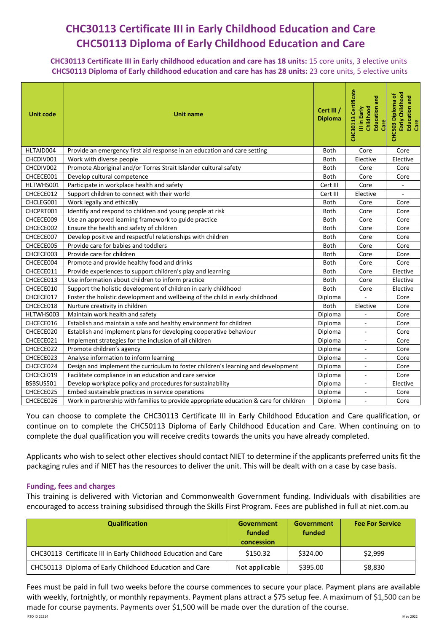### **CHC30113 Certificate III in Early Childhood Education and Care CHC50113 Diploma of Early Childhood Education and Care**

**CHC30113 Certificate III in Early childhood education and care has 18 units:** 15 core units, 3 elective units **CHC50113 Diploma of Early childhood education and care has has 28 units:** 23 core units, 5 elective units

| <b>Unit code</b> | <b>Unit name</b>                                                                       | Cert III /<br><b>Diploma</b> | CHC30113 Certificate<br>Education and<br>Childhood<br>III in Early<br>Care | Early Childhood<br>CHC503 Diploma of<br>Education and<br>Care |
|------------------|----------------------------------------------------------------------------------------|------------------------------|----------------------------------------------------------------------------|---------------------------------------------------------------|
| HLTAID004        | Provide an emergency first aid response in an education and care setting               | <b>Both</b>                  | Core                                                                       | Core                                                          |
| CHCDIV001        | Work with diverse people                                                               | Both                         | Elective                                                                   | Elective                                                      |
| CHCDIV002        | Promote Aboriginal and/or Torres Strait Islander cultural safety                       | <b>Both</b>                  | Core                                                                       | Core                                                          |
| CHCECE001        | Develop cultural competence                                                            | <b>Both</b>                  | Core                                                                       | Core                                                          |
| HLTWHS001        | Participate in workplace health and safety                                             | Cert III                     | Core                                                                       |                                                               |
| CHCECE012        | Support children to connect with their world                                           | Cert III                     | Elective                                                                   |                                                               |
| CHCLEG001        | Work legally and ethically                                                             | Both                         | Core                                                                       | Core                                                          |
| CHCPRT001        | Identify and respond to children and young people at risk                              | <b>Both</b>                  | Core                                                                       | Core                                                          |
| CHCECE009        | Use an approved learning framework to guide practice                                   | <b>Both</b>                  | Core                                                                       | Core                                                          |
| CHCECE002        | Ensure the health and safety of children                                               | Both                         | Core                                                                       | Core                                                          |
| CHCECE007        | Develop positive and respectful relationships with children                            | <b>Both</b>                  | Core                                                                       | Core                                                          |
| CHCECE005        | Provide care for babies and toddlers                                                   | Both                         | Core                                                                       | Core                                                          |
| CHCECE003        | Provide care for children                                                              | <b>Both</b>                  | Core                                                                       | Core                                                          |
| CHCECE004        | Promote and provide healthy food and drinks                                            | <b>Both</b>                  | Core                                                                       | Core                                                          |
| CHCECE011        | Provide experiences to support children's play and learning                            | Both                         | Core                                                                       | Elective                                                      |
| CHCECE013        | Use information about children to inform practice                                      | <b>Both</b>                  | Core                                                                       | Elective                                                      |
| CHCECE010        | Support the holistic development of children in early childhood                        | <b>Both</b>                  | Core                                                                       | Elective                                                      |
| CHCECE017        | Foster the holistic development and wellbeing of the child in early childhood          | Diploma                      |                                                                            | Core                                                          |
| CHCECE018        | Nurture creativity in children                                                         | Both                         | Elective                                                                   | Core                                                          |
| HLTWHS003        | Maintain work health and safety                                                        | Diploma                      |                                                                            | Core                                                          |
| CHCECE016        | Establish and maintain a safe and healthy environment for children                     | Diploma                      | $\blacksquare$                                                             | Core                                                          |
| CHCECE020        | Establish and implement plans for developing cooperative behaviour                     | Diploma                      | $\blacksquare$                                                             | Core                                                          |
| CHCECE021        | Implement strategies for the inclusion of all children                                 | Diploma                      | $\sim$                                                                     | Core                                                          |
| CHCECE022        | Promote children's agency                                                              | Diploma                      | ÷.                                                                         | Core                                                          |
| CHCECE023        | Analyse information to inform learning                                                 | Diploma                      | $\sim$                                                                     | Core                                                          |
| CHCECE024        | Design and implement the curriculum to foster children's learning and development      | Diploma                      | $\overline{\phantom{a}}$                                                   | Core                                                          |
| CHCECE019        | Facilitate compliance in an education and care service                                 | Diploma                      | ÷.                                                                         | Core                                                          |
| BSBSUS501        | Develop workplace policy and procedures for sustainability                             | Diploma                      | $\sim$                                                                     | Elective                                                      |
| CHCECE025        | Embed sustainable practices in service operations                                      | Diploma                      | $\blacksquare$                                                             | Core                                                          |
| CHCECE026        | Work in partnership with families to provide appropriate education & care for children | Diploma                      | $\sim$                                                                     | Core                                                          |

You can choose to complete the CHC30113 Certificate III in Early Childhood Education and Care qualification, or continue on to complete the CHC50113 Diploma of Early Childhood Education and Care. When continuing on to complete the dual qualification you will receive credits towards the units you have already completed.

Applicants who wish to select other electives should contact NIET to determine if the applicants preferred units fit the packaging rules and if NIET has the resources to deliver the unit. This will be dealt with on a case by case basis.

#### **Funding, fees and charges**

This training is delivered with Victorian and Commonwealth Government funding. Individuals with disabilities are encouraged to access training subsidised through the Skills First Program. Fees are published in full at [niet.com.au](http://www.niet.com.au/)

| <b>Qualification</b>                                           | Government<br>funded<br>concession | <b>Government</b><br>funded | <b>Fee For Service</b> |
|----------------------------------------------------------------|------------------------------------|-----------------------------|------------------------|
| CHC30113 Certificate III in Early Childhood Education and Care | \$150.32                           | \$324.00                    | \$2,999                |
| CHC50113 Diploma of Early Childhood Education and Care         | Not applicable                     | \$395.00                    | \$8,830                |

 RTO ID 22214 May 2022 Fees must be paid in full two weeks before the course commences to secure your place. Payment plans are available with weekly, fortnightly, or monthly repayments. Payment plans attract a \$75 setup fee. A maximum of \$1,500 can be made for course payments. Payments over \$1,500 will be made over the duration of the course.